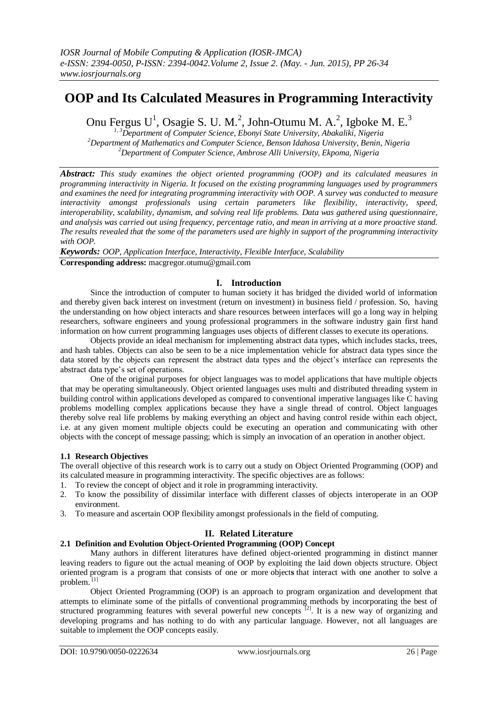# **OOP and Its Calculated Measures in Programming Interactivity**

Onu Fergus U<sup>1</sup>, Osagie S. U. M.<sup>2</sup>, John-Otumu M. A.<sup>2</sup>, Igboke M. E.<sup>3</sup>

*1, 3Department of Computer Science, Ebonyi State University, Abakaliki, Nigeria <sup>2</sup>Department of Mathematics and Computer Science, Benson Idahosa University, Benin, Nigeria <sup>2</sup>Department of Computer Science, Ambrose Alli University, Ekpoma, Nigeria*

*Abstract: This study examines the object oriented programming (OOP) and its calculated measures in programming interactivity in Nigeria. It focused on the existing programming languages used by programmers and examines the need for integrating programming interactivity with OOP. A survey was conducted to measure interactivity amongst professionals using certain parameters like flexibility, interactivity, speed, interoperability, scalability, dynamism, and solving real life problems. Data was gathered using questionnaire, and analysis was carried out using frequency, percentage ratio, and mean in arriving at a more proactive stand. The results revealed that the some of the parameters used are highly in support of the programming interactivity with OOP.*

*Keywords: OOP, Application Interface, Interactivity, Flexible Interface, Scalability*

**Corresponding address:** macgregor.otumu@gmail.com

# **I. Introduction**

Since the introduction of computer to human society it has bridged the divided world of information and thereby given back interest on investment (return on investment) in business field / profession. So, having the understanding on how object interacts and share resources between interfaces will go a long way in helping researchers, software engineers and young professional programmers in the software industry gain first hand information on how current programming languages uses objects of different classes to execute its operations.

Objects provide an ideal mechanism for implementing abstract data types, which includes stacks, trees, and hash tables. Objects can also be seen to be a nice implementation vehicle for abstract data types since the data stored by the objects can represent the abstract data types and the object's interface can represents the abstract data type's set of operations.

One of the original purposes for object languages was to model applications that have multiple objects that may be operating simultaneously. Object oriented languages uses multi and distributed threading system in building control within applications developed as compared to conventional imperative languages like C having problems modelling complex applications because they have a single thread of control. Object languages thereby solve real life problems by making everything an object and having control reside within each object, i.e. at any given moment multiple objects could be executing an operation and communicating with other objects with the concept of message passing; which is simply an invocation of an operation in another object.

## **1.1 Research Objectives**

The overall objective of this research work is to carry out a study on Object Oriented Programming (OOP) and its calculated measure in programming interactivity. The specific objectives are as follows:

- 1. To review the concept of object and it role in programming interactivity.
- 2. To know the possibility of dissimilar interface with different classes of objects interoperate in an OOP environment.
- 3. To measure and ascertain OOP flexibility amongst professionals in the field of computing.

# **II. Related Literature**

## **2.1 Definition and Evolution Object-Oriented Programming (OOP) Concept**

Many authors in different literatures have defined object-oriented programming in distinct manner leaving readers to figure out the actual meaning of OOP by exploiting the laid down objects structure. Object oriented program is a program that consists of one or more object**s** that interact with one another to solve a problem.<sup>[1]</sup>

Object Oriented Programming (OOP) is an approach to program organization and development that attempts to eliminate some of the pitfalls of conventional programming methods by incorporating the best of structured programming features with several powerful new concepts  $[2]$ . It is a new way of organizing and developing programs and has nothing to do with any particular language. However, not all languages are suitable to implement the OOP concepts easily.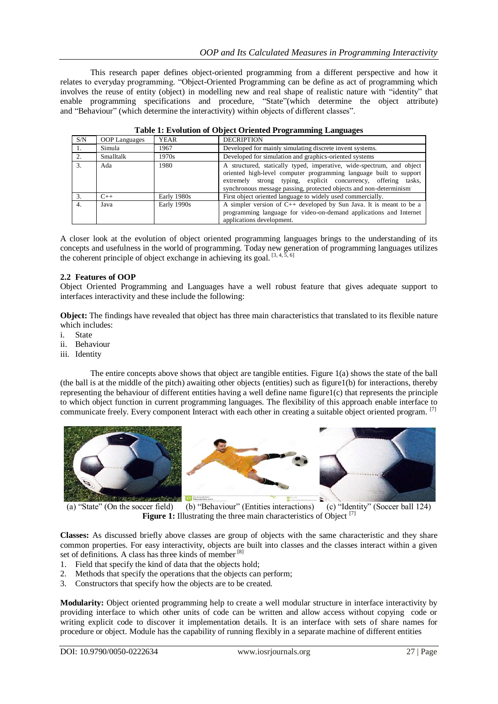This research paper defines object-oriented programming from a different perspective and how it relates to everyday programming. "Object-Oriented Programming can be define as act of programming which involves the reuse of entity (object) in modelling new and real shape of realistic nature with "identity" that enable programming specifications and procedure, "State"(which determine the object attribute) and "Behaviour" (which determine the interactivity) within objects of different classes".

| S/N | <b>OOP</b> Languages | YEAR        | <b>DECRIPTION</b>                                                                                                                                                                                                                                                                   |  |
|-----|----------------------|-------------|-------------------------------------------------------------------------------------------------------------------------------------------------------------------------------------------------------------------------------------------------------------------------------------|--|
| -1. | Simula               | 1967        | Developed for mainly simulating discrete invent systems.                                                                                                                                                                                                                            |  |
| 2.  | Smalltalk            | 1970s       | Developed for simulation and graphics-oriented systems                                                                                                                                                                                                                              |  |
| 3.  | Ada                  | 1980.       | A structured, statically typed, imperative, wide-spectrum, and object<br>oriented high-level computer programming language built to support<br>extremely strong typing, explicit concurrency, offering tasks,<br>synchronous message passing, protected objects and non-determinism |  |
| 3.  | $C++$                | Early 1980s | First object oriented language to widely used commercially.                                                                                                                                                                                                                         |  |
| 4.  | Java                 | Early 1990s | A simpler version of $C_{++}$ developed by Sun Java. It is meant to be a<br>programming language for video-on-demand applications and Internet<br>applications development.                                                                                                         |  |

| Table 1: Evolution of Object Oriented Programming Languages |  |
|-------------------------------------------------------------|--|
|-------------------------------------------------------------|--|

A closer look at the evolution of object oriented programming languages brings to the understanding of its concepts and usefulness in the world of programming. Today new generation of programming languages utilizes the coherent principle of object exchange in achieving its goal.  $[3, 4, 5, 6]$ 

## **2.2 Features of OOP**

Object Oriented Programming and Languages have a well robust feature that gives adequate support to interfaces interactivity and these include the following:

**Object:** The findings have revealed that object has three main characteristics that translated to its flexible nature which includes:

- i. State
- ii. Behaviour
- iii. Identity

The entire concepts above shows that object are tangible entities. Figure 1(a) shows the state of the ball (the ball is at the middle of the pitch) awaiting other objects (entities) such as figure1(b) for interactions, thereby representing the behaviour of different entities having a well define name figure1(c) that represents the principle to which object function in current programming languages. The flexibility of this approach enable interface to communicate freely. Every component Interact with each other in creating a suitable object oriented program. <sup>[7]</sup>



(a) "State" (On the soccer field) (b) "Behaviour" (Entities interactions) (c) "Identity" (Soccer ball 124) **Figure 1:** Illustrating the three main characteristics of Object <sup>[7]</sup>

**Classes:** As discussed briefly above classes are group of objects with the same characteristic and they share common properties. For easy interactivity, objects are built into classes and the classes interact within a given set of definitions. A class has three kinds of member <sup>[8]</sup>

- 1. Field that specify the kind of data that the objects hold;
- 2. Methods that specify the operations that the objects can perform;
- 3. Constructors that specify how the objects are to be created.

**Modularity:** Object oriented programming help to create a well modular structure in interface interactivity by providing interface to which other units of code can be written and allow access without copying code or writing explicit code to discover it implementation details. It is an interface with sets of share names for procedure or object. Module has the capability of running flexibly in a separate machine of different entities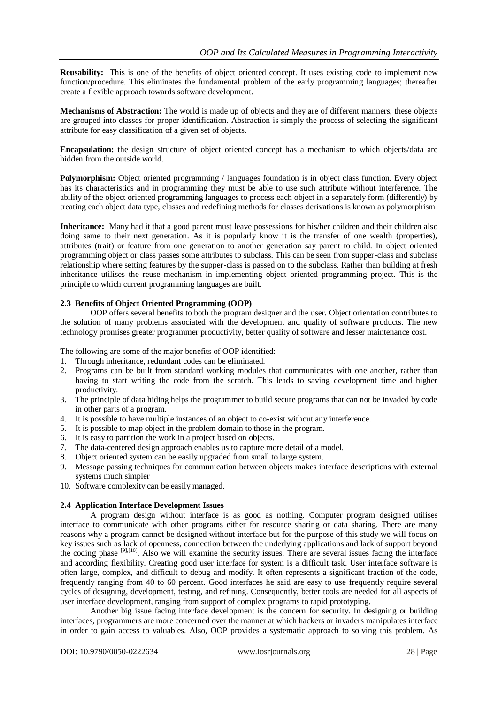**Reusability:** This is one of the benefits of object oriented concept. It uses existing code to implement new function/procedure. This eliminates the fundamental problem of the early programming languages; thereafter create a flexible approach towards software development.

**Mechanisms of Abstraction:** The world is made up of objects and they are of different manners, these objects are grouped into classes for proper identification. Abstraction is simply the process of selecting the significant attribute for easy classification of a given set of objects.

**Encapsulation:** the design structure of object oriented concept has a mechanism to which objects/data are hidden from the outside world.

**Polymorphism:** Object oriented programming / languages foundation is in object class function. Every object has its characteristics and in programming they must be able to use such attribute without interference. The ability of the object oriented programming languages to process each object in a separately form (differently) by treating each object data type, classes and redefining methods for classes derivations is known as polymorphism

**Inheritance:** Many had it that a good parent must leave possessions for his/her children and their children also doing same to their next generation. As it is popularly know it is the transfer of one wealth (properties), attributes (trait) or feature from one generation to another generation say parent to child. In object oriented programming object or class passes some attributes to subclass. This can be seen from supper-class and subclass relationship where setting features by the supper-class is passed on to the subclass. Rather than building at fresh inheritance utilises the reuse mechanism in implementing object oriented programming project. This is the principle to which current programming languages are built.

## **2.3 Benefits of Object Oriented Programming (OOP)**

OOP offers several benefits to both the program designer and the user. Object orientation contributes to the solution of many problems associated with the development and quality of software products. The new technology promises greater programmer productivity, better quality of software and lesser maintenance cost.

The following are some of the major benefits of OOP identified:

- 1. Through inheritance, redundant codes can be eliminated.
- 2. Programs can be built from standard working modules that communicates with one another, rather than having to start writing the code from the scratch. This leads to saving development time and higher productivity.
- 3. The principle of data hiding helps the programmer to build secure programs that can not be invaded by code in other parts of a program.
- 4. It is possible to have multiple instances of an object to co-exist without any interference.
- 5. It is possible to map object in the problem domain to those in the program.
- 6. It is easy to partition the work in a project based on objects.
- 7. The data-centered design approach enables us to capture more detail of a model.
- 8. Object oriented system can be easily upgraded from small to large system.
- 9. Message passing techniques for communication between objects makes interface descriptions with external systems much simpler
- 10. Software complexity can be easily managed.

### **2.4 Application Interface Development Issues**

A program design without interface is as good as nothing. Computer program designed utilises interface to communicate with other programs either for resource sharing or data sharing. There are many reasons why a program cannot be designed without interface but for the purpose of this study we will focus on key issues such as lack of openness, connection between the underlying applications and lack of support beyond the coding phase <sup>[9],[10]</sup>. Also we will examine the security issues. There are several issues facing the interface and according flexibility. Creating good user interface for system is a difficult task. User interface software is often large, complex, and difficult to debug and modify. It often represents a significant fraction of the code, frequently ranging from 40 to 60 percent. Good interfaces he said are easy to use frequently require several cycles of designing, development, testing, and refining. Consequently, better tools are needed for all aspects of user interface development, ranging from support of complex programs to rapid prototyping.

Another big issue facing interface development is the concern for security. In designing or building interfaces, programmers are more concerned over the manner at which hackers or invaders manipulates interface in order to gain access to valuables. Also, OOP provides a systematic approach to solving this problem. As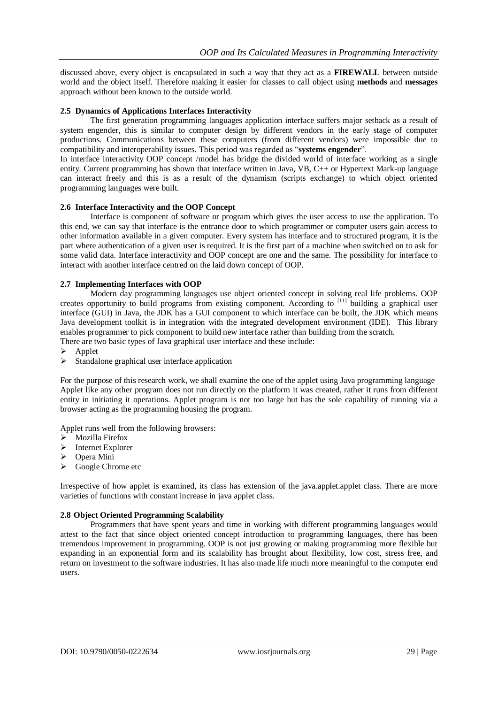discussed above, every object is encapsulated in such a way that they act as a **FIREWALL** between outside world and the object itself. Therefore making it easier for classes to call object using **methods** and **messages** approach without been known to the outside world.

## **2.5 Dynamics of Applications Interfaces Interactivity**

The first generation programming languages application interface suffers major setback as a result of system engender, this is similar to computer design by different vendors in the early stage of computer productions. Communications between these computers (from different vendors) were impossible due to compatibility and interoperability issues. This period was regarded as "**systems engender**".

In interface interactivity OOP concept /model has bridge the divided world of interface working as a single entity. Current programming has shown that interface written in Java, VB, C++ or Hypertext Mark-up language can interact freely and this is as a result of the dynamism (scripts exchange) to which object oriented programming languages were built.

### **2.6 Interface Interactivity and the OOP Concept**

Interface is component of software or program which gives the user access to use the application. To this end, we can say that interface is the entrance door to which programmer or computer users gain access to other information available in a given computer. Every system has interface and to structured program, it is the part where authentication of a given user is required. It is the first part of a machine when switched on to ask for some valid data. Interface interactivity and OOP concept are one and the same. The possibility for interface to interact with another interface centred on the laid down concept of OOP.

### **2.7 Implementing Interfaces with OOP**

Modern day programming languages use object oriented concept in solving real life problems. OOP creates opportunity to build programs from existing component. According to <sup>[11]</sup> building a graphical user interface (GUI) in Java, the JDK has a GUI component to which interface can be built, the JDK which means Java development toolkit is in integration with the integrated development environment (IDE). This library enables programmer to pick component to build new interface rather than building from the scratch. There are two basic types of Java graphical user interface and these include:

- Applet
- $\triangleright$  Standalone graphical user interface application

For the purpose of this research work, we shall examine the one of the applet using Java programming language Applet like any other program does not run directly on the platform it was created, rather it runs from different entity in initiating it operations. Applet program is not too large but has the sole capability of running via a browser acting as the programming housing the program.

Applet runs well from the following browsers:

- > Mozilla Firefox
- $\triangleright$  Internet Explorer
- Opera Mini
- $\triangleright$  Google Chrome etc

Irrespective of how applet is examined, its class has extension of the java.applet.applet class. There are more varieties of functions with constant increase in java applet class.

### **2.8 Object Oriented Programming Scalability**

Programmers that have spent years and time in working with different programming languages would attest to the fact that since object oriented concept introduction to programming languages, there has been tremendous improvement in programming. OOP is not just growing or making programming more flexible but expanding in an exponential form and its scalability has brought about flexibility, low cost, stress free, and return on investment to the software industries. It has also made life much more meaningful to the computer end users.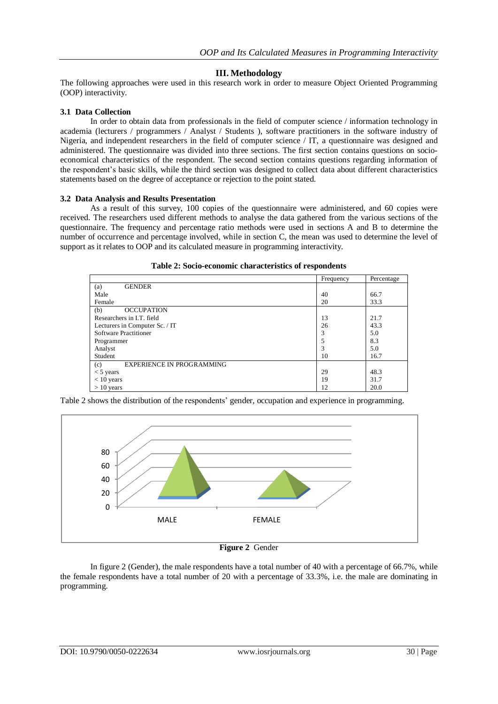## **III. Methodology**

The following approaches were used in this research work in order to measure Object Oriented Programming (OOP) interactivity.

#### **3.1 Data Collection**

In order to obtain data from professionals in the field of computer science / information technology in academia (lecturers / programmers / Analyst / Students ), software practitioners in the software industry of Nigeria, and independent researchers in the field of computer science / IT, a questionnaire was designed and administered. The questionnaire was divided into three sections. The first section contains questions on socioeconomical characteristics of the respondent. The second section contains questions regarding information of the respondent"s basic skills, while the third section was designed to collect data about different characteristics statements based on the degree of acceptance or rejection to the point stated.

#### **3.2 Data Analysis and Results Presentation**

As a result of this survey, 100 copies of the questionnaire were administered, and 60 copies were received. The researchers used different methods to analyse the data gathered from the various sections of the questionnaire. The frequency and percentage ratio methods were used in sections A and B to determine the number of occurrence and percentage involved, while in section C, the mean was used to determine the level of support as it relates to OOP and its calculated measure in programming interactivity.

|                                         | Frequency | Percentage |
|-----------------------------------------|-----------|------------|
| <b>GENDER</b><br>(a)                    |           |            |
| Male                                    | 40        | 66.7       |
| Female                                  | 20        | 33.3       |
| (b)<br><b>OCCUPATION</b>                |           |            |
| Researchers in I.T. field               | 13        | 21.7       |
| Lecturers in Computer Sc. / IT          | 26        | 43.3       |
| <b>Software Practitioner</b>            | 3         | 5.0        |
| Programmer                              |           | 8.3        |
| Analyst                                 | 3         | 5.0        |
| Student                                 | 10        | 16.7       |
| <b>EXPERIENCE IN PROGRAMMING</b><br>(c) |           |            |
| $<$ 5 years                             | 29        | 48.3       |
| $< 10$ years                            | 19        | 31.7       |
| $> 10$ years                            | 12        | 20.0       |

Table 2 shows the distribution of the respondents" gender, occupation and experience in programming.



**Figure 2** Gender

In figure 2 (Gender), the male respondents have a total number of 40 with a percentage of 66.7%, while the female respondents have a total number of 20 with a percentage of 33.3%, i.e. the male are dominating in programming.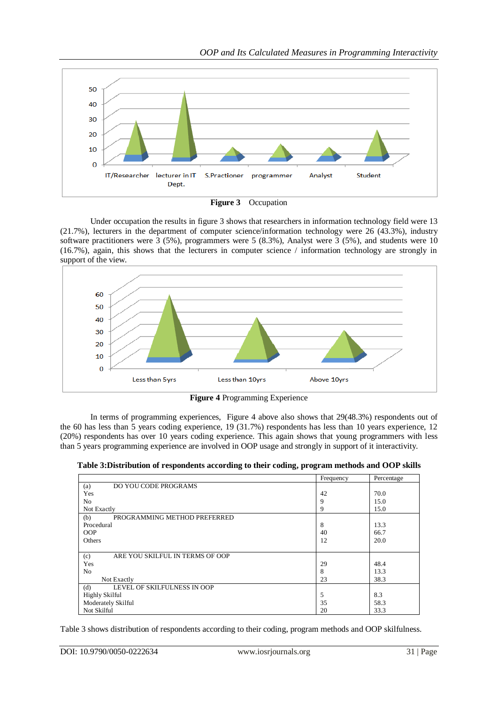



Under occupation the results in figure 3 shows that researchers in information technology field were 13 (21.7%), lecturers in the department of computer science/information technology were 26 (43.3%), industry software practitioners were  $3$  (5%), programmers were  $5$  (8.3%), Analyst were  $3$  (5%), and students were 10 (16.7%), again, this shows that the lecturers in computer science / information technology are strongly in support of the view.



**Figure 4** Programming Experience

In terms of programming experiences, Figure 4 above also shows that 29(48.3%) respondents out of the 60 has less than 5 years coding experience, 19 (31.7%) respondents has less than 10 years experience, 12 (20%) respondents has over 10 years coding experience. This again shows that young programmers with less than 5 years programming experience are involved in OOP usage and strongly in support of it interactivity.

**Table 3:Distribution of respondents according to their coding, program methods and OOP skills**

|                                        | Frequency | Percentage |
|----------------------------------------|-----------|------------|
| DO YOU CODE PROGRAMS<br>(a)            |           |            |
| Yes                                    | 42        | 70.0       |
| N <sub>0</sub>                         | 9         | 15.0       |
| Not Exactly                            | 9         | 15.0       |
| (b)<br>PROGRAMMING METHOD PREFERRED    |           |            |
| Procedural                             | 8         | 13.3       |
| <b>OOP</b>                             | 40        | 66.7       |
| Others                                 | 12        | 20.0       |
|                                        |           |            |
| ARE YOU SKILFUL IN TERMS OF OOP<br>(c) |           |            |
| Yes                                    | 29        | 48.4       |
| N <sub>0</sub>                         | 8         | 13.3       |
| Not Exactly                            | 23        | 38.3       |
| (d)<br>LEVEL OF SKILFULNESS IN OOP     |           |            |
| <b>Highly Skilful</b>                  | 5         | 8.3        |
| Moderately Skilful                     | 35        | 58.3       |
| Not Skilful                            | 20        | 33.3       |

Table 3 shows distribution of respondents according to their coding, program methods and OOP skilfulness.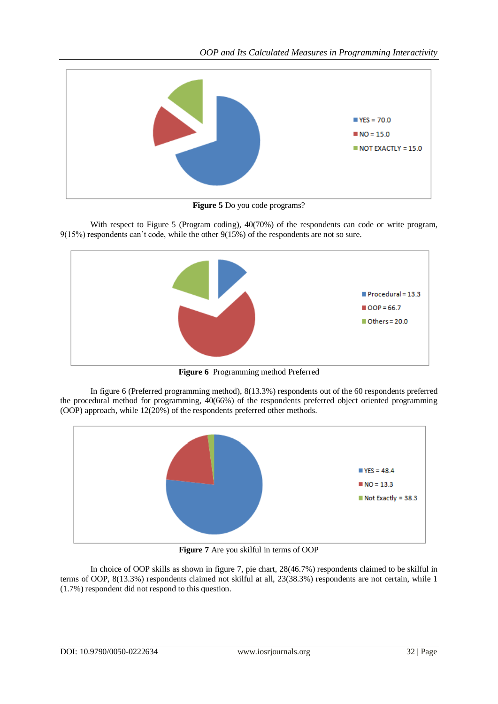

**Figure 5** Do you code programs?

With respect to Figure 5 (Program coding),  $40(70%)$  of the respondents can code or write program,  $9(15%)$  respondents can't code, while the other  $9(15%)$  of the respondents are not so sure.



**Figure 6** Programming method Preferred

In figure 6 (Preferred programming method), 8(13.3%) respondents out of the 60 respondents preferred the procedural method for programming, 40(66%) of the respondents preferred object oriented programming (OOP) approach, while 12(20%) of the respondents preferred other methods.



**Figure 7** Are you skilful in terms of OOP

In choice of OOP skills as shown in figure 7, pie chart, 28(46.7%) respondents claimed to be skilful in terms of OOP, 8(13.3%) respondents claimed not skilful at all, 23(38.3%) respondents are not certain, while 1 (1.7%) respondent did not respond to this question.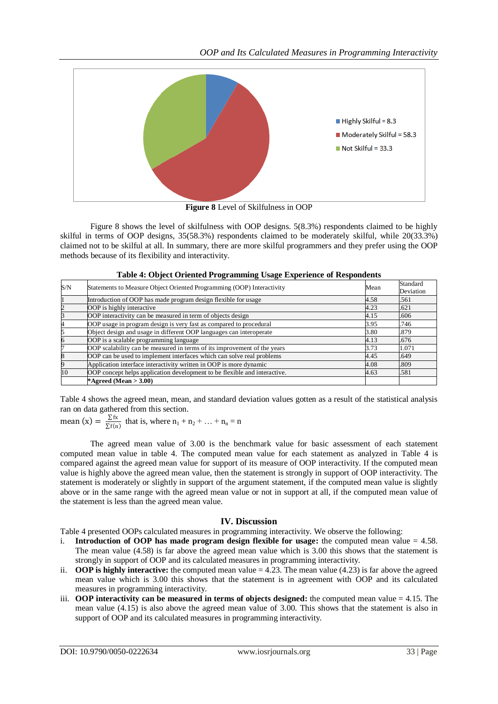

**Figure 8** Level of Skilfulness in OOP

Figure 8 shows the level of skilfulness with OOP designs. 5(8.3%) respondents claimed to be highly skilful in terms of OOP designs, 35(58.3%) respondents claimed to be moderately skilful, while 20(33.3%) claimed not to be skilful at all. In summary, there are more skilful programmers and they prefer using the OOP methods because of its flexibility and interactivity.

|  | Table 4: Object Oriented Programming Usage Experience of Respondents |
|--|----------------------------------------------------------------------|
|  |                                                                      |

| S/N | Statements to Measure Object Oriented Programming (OOP) Interactivity     | Mean | Standard  |
|-----|---------------------------------------------------------------------------|------|-----------|
|     |                                                                           |      | Deviation |
|     | Introduction of OOP has made program design flexible for usage            | 4.58 | .561      |
|     | OOP is highly interactive                                                 | 4.23 | .621      |
|     | OOP interactivity can be measured in term of objects design               | 4.15 | .606      |
| 4   | OOP usage in program design is very fast as compared to procedural        | 3.95 | .746      |
|     | Object design and usage in different OOP languages can interoperate       | 3.80 | .879      |
|     | OOP is a scalable programming language                                    | 4.13 | .676      |
|     | OOP scalability can be measured in terms of its improvement of the years  | 3.73 | 1.071     |
|     | OOP can be used to implement interfaces which can solve real problems     | 4.45 | .649      |
|     | Application interface interactivity written in OOP is more dynamic        | 4.08 | .809      |
| 10  | OOP concept helps application development to be flexible and interactive. | 4.63 | .581      |
|     | *Agreed (Mean $>$ 3.00)                                                   |      |           |

Table 4 shows the agreed mean, mean, and standard deviation values gotten as a result of the statistical analysis ran on data gathered from this section.

mean (x) =  $\frac{\sum fx}{\sum f(x)}$  $\frac{\sum x_i}{\sum f(n)}$  that is, where  $n_1 + n_2 + ... + n_n = n$ 

The agreed mean value of 3.00 is the benchmark value for basic assessment of each statement computed mean value in table 4. The computed mean value for each statement as analyzed in Table 4 is compared against the agreed mean value for support of its measure of OOP interactivity. If the computed mean value is highly above the agreed mean value, then the statement is strongly in support of OOP interactivity. The statement is moderately or slightly in support of the argument statement, if the computed mean value is slightly above or in the same range with the agreed mean value or not in support at all, if the computed mean value of the statement is less than the agreed mean value.

## **IV. Discussion**

Table 4 presented OOPs calculated measures in programming interactivity. We observe the following:

- i. **Introduction of OOP has made program design flexible for usage:** the computed mean value  $= 4.58$ . The mean value (4.58) is far above the agreed mean value which is 3.00 this shows that the statement is strongly in support of OOP and its calculated measures in programming interactivity.
- ii. **OOP is highly interactive:** the computed mean value  $= 4.23$ . The mean value  $(4.23)$  is far above the agreed mean value which is 3.00 this shows that the statement is in agreement with OOP and its calculated measures in programming interactivity.
- iii. **OOP interactivity can be measured in terms of objects designed:** the computed mean value = 4.15. The mean value (4.15) is also above the agreed mean value of 3.00. This shows that the statement is also in support of OOP and its calculated measures in programming interactivity.